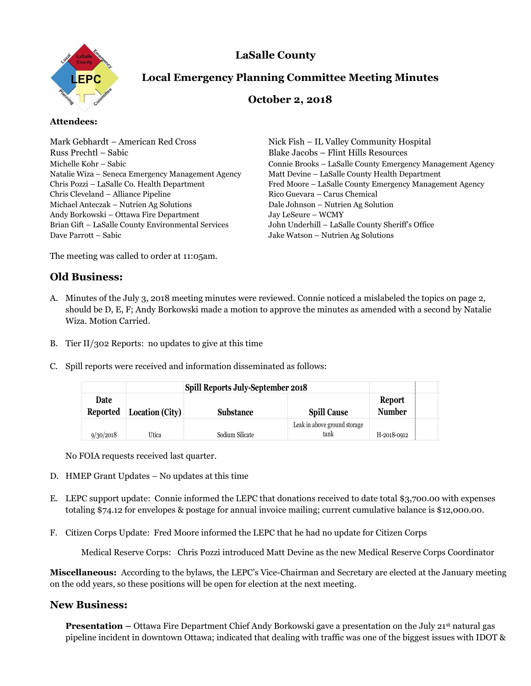



# **Local Emergency Planning Committee Meeting Minutes**

## **October 2, 2018**

#### **Attendees:**

| Mark Gebhardt – American Red Cross                 | Nick Fish – IL Valley Community Hospital                   |
|----------------------------------------------------|------------------------------------------------------------|
| Russ Prechtl – Sabic                               | <b>Blake Jacobs - Flint Hills Resources</b>                |
| Michelle Kohr – Sabic                              | Connie Brooks – LaSalle County Emergency Management Agency |
| Natalie Wiza – Seneca Emergency Management Agency  | Matt Devine - LaSalle County Health Department             |
| Chris Pozzi - LaSalle Co. Health Department        | Fred Moore – LaSalle County Emergency Management Agency    |
| Chris Cleveland – Alliance Pipeline                | Rico Guevara - Carus Chemical                              |
| Michael Anteczak – Nutrien Ag Solutions            | Dale Johnson - Nutrien Ag Solution                         |
| Andy Borkowski – Ottawa Fire Department            | Jay LeSeure - WCMY                                         |
| Brian Gift - LaSalle County Environmental Services | John Underhill - LaSalle County Sheriff's Office           |
| Dave Parrott – Sabic                               | Jake Watson - Nutrien Ag Solutions                         |
|                                                    |                                                            |

The meeting was called to order at 11:05am.

## **Old Business:**

- A. Minutes of the July 3, 2018 meeting minutes were reviewed. Connie noticed a mislabeled the topics on page 2, should be D, E, F; Andy Borkowski made a motion to approve the minutes as amended with a second by Natalie Wiza. Motion Carried.
- B. Tier II/302 Reports: no updates to give at this time
- C. Spill reports were received and information disseminated as follows:

|                    | <b>Spill Reports July-September 2018</b> |                                                                                                                                                                                                                                                                                                                                                                               |                                      |                                |  |
|--------------------|------------------------------------------|-------------------------------------------------------------------------------------------------------------------------------------------------------------------------------------------------------------------------------------------------------------------------------------------------------------------------------------------------------------------------------|--------------------------------------|--------------------------------|--|
| Date<br>Reported   | Location (City)                          | <b>Substance</b>                                                                                                                                                                                                                                                                                                                                                              | <b>Spill Cause</b>                   | <b>Report</b><br><b>Number</b> |  |
| 9/30/2018          | Utica                                    | Sodium Silicate                                                                                                                                                                                                                                                                                                                                                               | Leak in above ground storage<br>tank | H-2018-0912                    |  |
|                    | No FOIA requests received last quarter.  |                                                                                                                                                                                                                                                                                                                                                                               |                                      |                                |  |
|                    |                                          | HMEP Grant Updates – No updates at this time<br>LEPC support update: Connie informed the LEPC that donations received to date total \$3,700.00 with expenses<br>totaling \$74.12 for envelopes & postage for annual invoice mailing; current cumulative balance is \$12,000.00.<br>Citizen Corps Update: Fred Moore informed the LEPC that he had no update for Citizen Corps |                                      |                                |  |
|                    |                                          | Medical Reserve Corps: Chris Pozzi introduced Matt Devine as the new Medical Reserve Corps Coordinator                                                                                                                                                                                                                                                                        |                                      |                                |  |
|                    |                                          | cellaneous: According to the bylaws, the LEPC's Vice-Chairman and Secretary are elected at the January meeting<br>he odd years, so these positions will be open for election at the next meeting.                                                                                                                                                                             |                                      |                                |  |
| <b>w Business:</b> |                                          |                                                                                                                                                                                                                                                                                                                                                                               |                                      |                                |  |
|                    |                                          | <b>Presentation</b> – Ottawa Fire Department Chief Andy Borkowski gave a presentation on the July 21 <sup>st</sup> natural gas<br>pipeline incident in downtown Ottawa; indicated that dealing with traffic was one of the biggest issues with IDOT &                                                                                                                         |                                      |                                |  |

- D. HMEP Grant Updates No updates at this time
- E. LEPC support update: Connie informed the LEPC that donations received to date total \$3,700.00 with expenses totaling \$74.12 for envelopes & postage for annual invoice mailing; current cumulative balance is \$12,000.00.
- F. Citizen Corps Update: Fred Moore informed the LEPC that he had no update for Citizen Corps

#### **New Business:**